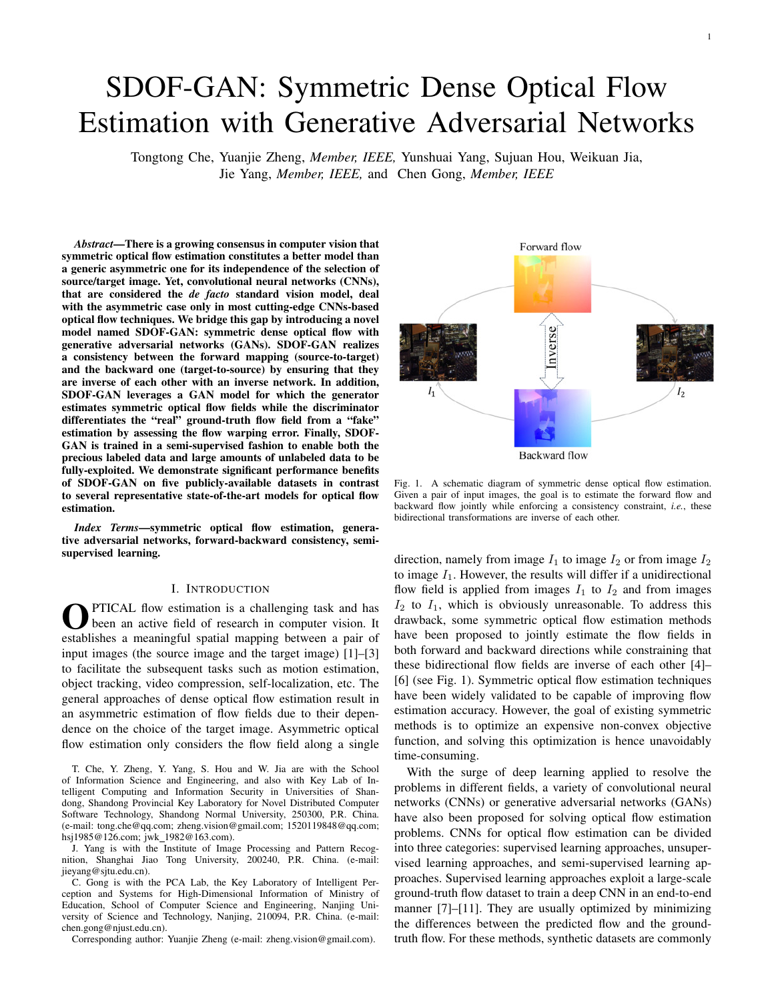# SDOF-GAN: Symmetric Dense Optical Flow Estimation with Generative Adversarial Networks

Tongtong Che, Yuanjie Zheng, *Member, IEEE,* Yunshuai Yang, Sujuan Hou, Weikuan Jia, Jie Yang, *Member, IEEE,* and Chen Gong, *Member, IEEE*

*Abstract*—There is a growing consensus in computer vision that symmetric optical flow estimation constitutes a better model than a generic asymmetric one for its independence of the selection of source/target image. Yet, convolutional neural networks (CNNs), that are considered the *de facto* standard vision model, deal with the asymmetric case only in most cutting-edge CNNs-based optical flow techniques. We bridge this gap by introducing a novel model named SDOF-GAN: symmetric dense optical flow with generative adversarial networks (GANs). SDOF-GAN realizes a consistency between the forward mapping (source-to-target) and the backward one (target-to-source) by ensuring that they are inverse of each other with an inverse network. In addition, SDOF-GAN leverages a GAN model for which the generator estimates symmetric optical flow fields while the discriminator differentiates the "real" ground-truth flow field from a "fake" estimation by assessing the flow warping error. Finally, SDOF-GAN is trained in a semi-supervised fashion to enable both the precious labeled data and large amounts of unlabeled data to be fully-exploited. We demonstrate significant performance benefits of SDOF-GAN on five publicly-available datasets in contrast to several representative state-of-the-art models for optical flow estimation.

*Index Terms*—symmetric optical flow estimation, generative adversarial networks, forward-backward consistency, semisupervised learning.

#### I. INTRODUCTION

**O** PTICAL flow estimation is a challenging task and has been an active field of research in computer vision. It establishes a meaningful spatial mapping between a pair of PTICAL flow estimation is a challenging task and has been an active field of research in computer vision. It input images (the source image and the target image) [1]–[3] to facilitate the subsequent tasks such as motion estimation, object tracking, video compression, self-localization, etc. The general approaches of dense optical flow estimation result in an asymmetric estimation of flow fields due to their dependence on the choice of the target image. Asymmetric optical flow estimation only considers the flow field along a single

T. Che, Y. Zheng, Y. Yang, S. Hou and W. Jia are with the School of Information Science and Engineering, and also with Key Lab of Intelligent Computing and Information Security in Universities of Shandong, Shandong Provincial Key Laboratory for Novel Distributed Computer Software Technology, Shandong Normal University, 250300, P.R. China. (e-mail: tong.che@qq.com; zheng.vision@gmail.com; 1520119848@qq.com; hsj1985@126.com; jwk\_1982@163.com).

J. Yang is with the Institute of Image Processing and Pattern Recognition, Shanghai Jiao Tong University, 200240, P.R. China. (e-mail: jieyang@sjtu.edu.cn).

C. Gong is with the PCA Lab, the Key Laboratory of Intelligent Perception and Systems for High-Dimensional Information of Ministry of Education, School of Computer Science and Engineering, Nanjing University of Science and Technology, Nanjing, 210094, P.R. China. (e-mail: chen.gong@njust.edu.cn).

Corresponding author: Yuanjie Zheng (e-mail: zheng.vision@gmail.com).



Fig. 1. A schematic diagram of symmetric dense optical flow estimation. Given a pair of input images, the goal is to estimate the forward flow and backward flow jointly while enforcing a consistency constraint, *i.e.*, these bidirectional transformations are inverse of each other.

direction, namely from image  $I_1$  to image  $I_2$  or from image  $I_2$ to image  $I_1$ . However, the results will differ if a unidirectional flow field is applied from images  $I_1$  to  $I_2$  and from images  $I_2$  to  $I_1$ , which is obviously unreasonable. To address this drawback, some symmetric optical flow estimation methods have been proposed to jointly estimate the flow fields in both forward and backward directions while constraining that these bidirectional flow fields are inverse of each other [4]– [6] (see Fig. 1). Symmetric optical flow estimation techniques have been widely validated to be capable of improving flow estimation accuracy. However, the goal of existing symmetric methods is to optimize an expensive non-convex objective function, and solving this optimization is hence unavoidably time-consuming.

With the surge of deep learning applied to resolve the problems in different fields, a variety of convolutional neural networks (CNNs) or generative adversarial networks (GANs) have also been proposed for solving optical flow estimation problems. CNNs for optical flow estimation can be divided into three categories: supervised learning approaches, unsupervised learning approaches, and semi-supervised learning approaches. Supervised learning approaches exploit a large-scale ground-truth flow dataset to train a deep CNN in an end-to-end manner [7]–[11]. They are usually optimized by minimizing the differences between the predicted flow and the groundtruth flow. For these methods, synthetic datasets are commonly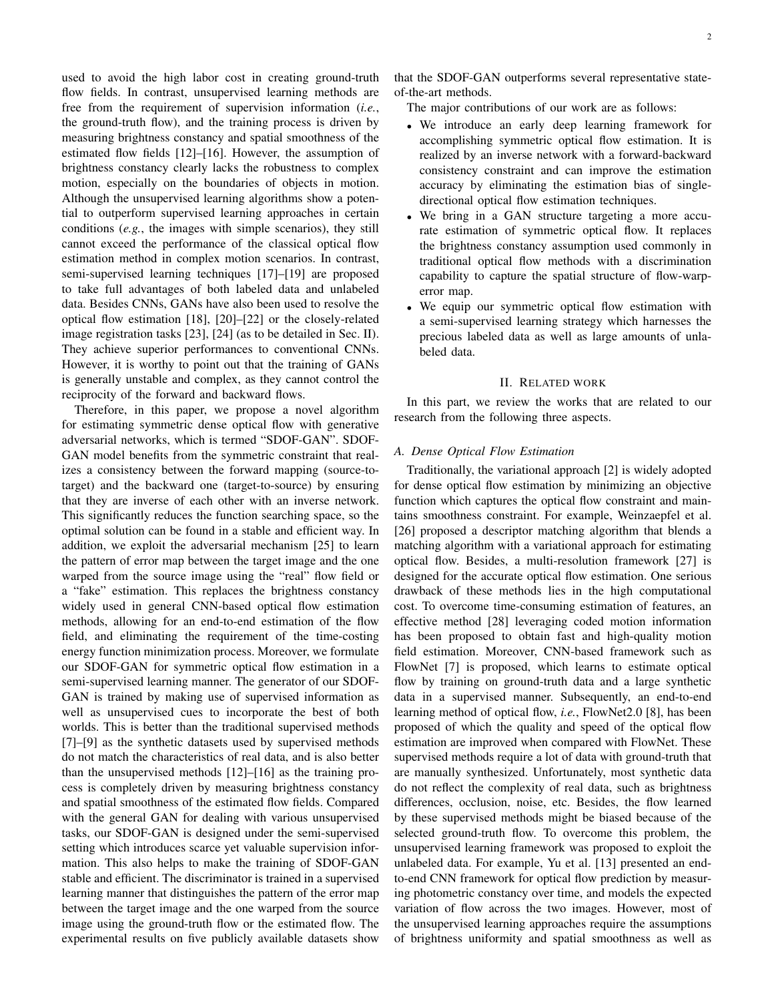used to avoid the high labor cost in creating ground-truth flow fields. In contrast, unsupervised learning methods are free from the requirement of supervision information (*i.e.*, the ground-truth flow), and the training process is driven by measuring brightness constancy and spatial smoothness of the estimated flow fields [12]–[16]. However, the assumption of brightness constancy clearly lacks the robustness to complex motion, especially on the boundaries of objects in motion. Although the unsupervised learning algorithms show a potential to outperform supervised learning approaches in certain conditions (*e.g.*, the images with simple scenarios), they still cannot exceed the performance of the classical optical flow estimation method in complex motion scenarios. In contrast, semi-supervised learning techniques [17]–[19] are proposed to take full advantages of both labeled data and unlabeled data. Besides CNNs, GANs have also been used to resolve the optical flow estimation [18], [20]–[22] or the closely-related image registration tasks [23], [24] (as to be detailed in Sec. II). They achieve superior performances to conventional CNNs. However, it is worthy to point out that the training of GANs is generally unstable and complex, as they cannot control the reciprocity of the forward and backward flows.

Therefore, in this paper, we propose a novel algorithm for estimating symmetric dense optical flow with generative adversarial networks, which is termed "SDOF-GAN". SDOF-GAN model benefits from the symmetric constraint that realizes a consistency between the forward mapping (source-totarget) and the backward one (target-to-source) by ensuring that they are inverse of each other with an inverse network. This significantly reduces the function searching space, so the optimal solution can be found in a stable and efficient way. In addition, we exploit the adversarial mechanism [25] to learn the pattern of error map between the target image and the one warped from the source image using the "real" flow field or a "fake" estimation. This replaces the brightness constancy widely used in general CNN-based optical flow estimation methods, allowing for an end-to-end estimation of the flow field, and eliminating the requirement of the time-costing energy function minimization process. Moreover, we formulate our SDOF-GAN for symmetric optical flow estimation in a semi-supervised learning manner. The generator of our SDOF-GAN is trained by making use of supervised information as well as unsupervised cues to incorporate the best of both worlds. This is better than the traditional supervised methods [7]–[9] as the synthetic datasets used by supervised methods do not match the characteristics of real data, and is also better than the unsupervised methods [12]–[16] as the training process is completely driven by measuring brightness constancy and spatial smoothness of the estimated flow fields. Compared with the general GAN for dealing with various unsupervised tasks, our SDOF-GAN is designed under the semi-supervised setting which introduces scarce yet valuable supervision information. This also helps to make the training of SDOF-GAN stable and efficient. The discriminator is trained in a supervised learning manner that distinguishes the pattern of the error map between the target image and the one warped from the source image using the ground-truth flow or the estimated flow. The experimental results on five publicly available datasets show

that the SDOF-GAN outperforms several representative stateof-the-art methods.

The major contributions of our work are as follows:

- We introduce an early deep learning framework for accomplishing symmetric optical flow estimation. It is realized by an inverse network with a forward-backward consistency constraint and can improve the estimation accuracy by eliminating the estimation bias of singledirectional optical flow estimation techniques.
- We bring in a GAN structure targeting a more accurate estimation of symmetric optical flow. It replaces the brightness constancy assumption used commonly in traditional optical flow methods with a discrimination capability to capture the spatial structure of flow-warperror map.
- We equip our symmetric optical flow estimation with a semi-supervised learning strategy which harnesses the precious labeled data as well as large amounts of unlabeled data.

#### II. RELATED WORK

In this part, we review the works that are related to our research from the following three aspects.

## *A. Dense Optical Flow Estimation*

Traditionally, the variational approach [2] is widely adopted for dense optical flow estimation by minimizing an objective function which captures the optical flow constraint and maintains smoothness constraint. For example, Weinzaepfel et al. [26] proposed a descriptor matching algorithm that blends a matching algorithm with a variational approach for estimating optical flow. Besides, a multi-resolution framework [27] is designed for the accurate optical flow estimation. One serious drawback of these methods lies in the high computational cost. To overcome time-consuming estimation of features, an effective method [28] leveraging coded motion information has been proposed to obtain fast and high-quality motion field estimation. Moreover, CNN-based framework such as FlowNet [7] is proposed, which learns to estimate optical flow by training on ground-truth data and a large synthetic data in a supervised manner. Subsequently, an end-to-end learning method of optical flow, *i.e.*, FlowNet2.0 [8], has been proposed of which the quality and speed of the optical flow estimation are improved when compared with FlowNet. These supervised methods require a lot of data with ground-truth that are manually synthesized. Unfortunately, most synthetic data do not reflect the complexity of real data, such as brightness differences, occlusion, noise, etc. Besides, the flow learned by these supervised methods might be biased because of the selected ground-truth flow. To overcome this problem, the unsupervised learning framework was proposed to exploit the unlabeled data. For example, Yu et al. [13] presented an endto-end CNN framework for optical flow prediction by measuring photometric constancy over time, and models the expected variation of flow across the two images. However, most of the unsupervised learning approaches require the assumptions of brightness uniformity and spatial smoothness as well as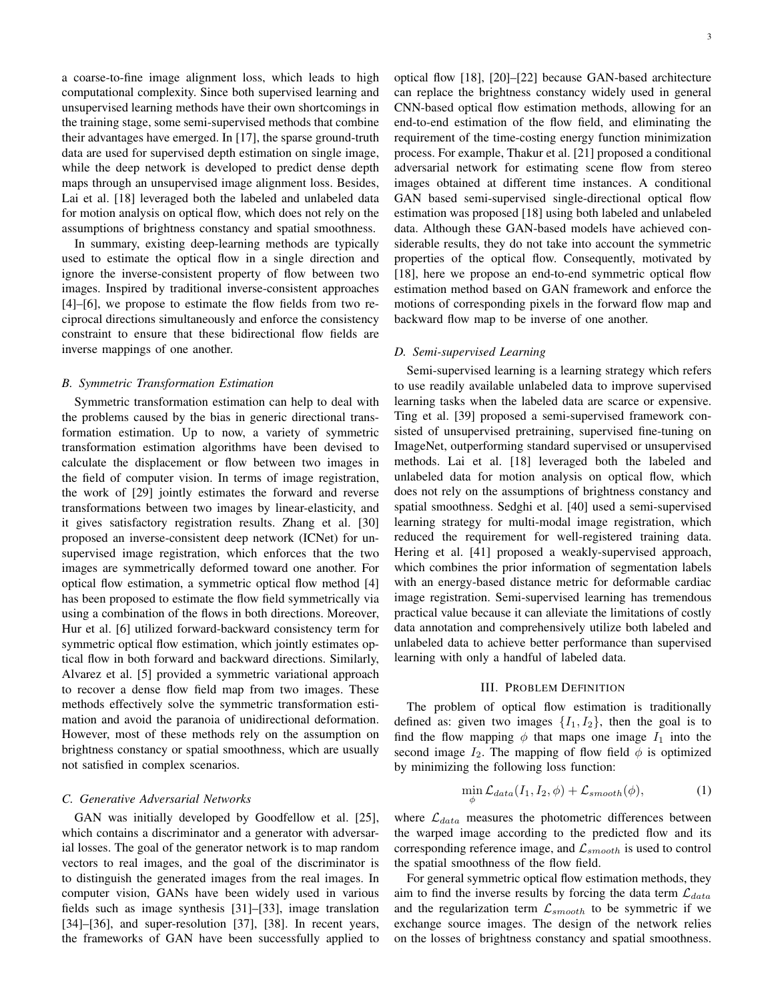a coarse-to-fine image alignment loss, which leads to high computational complexity. Since both supervised learning and unsupervised learning methods have their own shortcomings in the training stage, some semi-supervised methods that combine their advantages have emerged. In [17], the sparse ground-truth data are used for supervised depth estimation on single image, while the deep network is developed to predict dense depth maps through an unsupervised image alignment loss. Besides, Lai et al. [18] leveraged both the labeled and unlabeled data for motion analysis on optical flow, which does not rely on the assumptions of brightness constancy and spatial smoothness.

In summary, existing deep-learning methods are typically used to estimate the optical flow in a single direction and ignore the inverse-consistent property of flow between two images. Inspired by traditional inverse-consistent approaches [4]–[6], we propose to estimate the flow fields from two reciprocal directions simultaneously and enforce the consistency constraint to ensure that these bidirectional flow fields are inverse mappings of one another.

## *B. Symmetric Transformation Estimation*

Symmetric transformation estimation can help to deal with the problems caused by the bias in generic directional transformation estimation. Up to now, a variety of symmetric transformation estimation algorithms have been devised to calculate the displacement or flow between two images in the field of computer vision. In terms of image registration, the work of [29] jointly estimates the forward and reverse transformations between two images by linear-elasticity, and it gives satisfactory registration results. Zhang et al. [30] proposed an inverse-consistent deep network (ICNet) for unsupervised image registration, which enforces that the two images are symmetrically deformed toward one another. For optical flow estimation, a symmetric optical flow method [4] has been proposed to estimate the flow field symmetrically via using a combination of the flows in both directions. Moreover, Hur et al. [6] utilized forward-backward consistency term for symmetric optical flow estimation, which jointly estimates optical flow in both forward and backward directions. Similarly, Alvarez et al. [5] provided a symmetric variational approach to recover a dense flow field map from two images. These methods effectively solve the symmetric transformation estimation and avoid the paranoia of unidirectional deformation. However, most of these methods rely on the assumption on brightness constancy or spatial smoothness, which are usually not satisfied in complex scenarios.

## *C. Generative Adversarial Networks*

GAN was initially developed by Goodfellow et al. [25], which contains a discriminator and a generator with adversarial losses. The goal of the generator network is to map random vectors to real images, and the goal of the discriminator is to distinguish the generated images from the real images. In computer vision, GANs have been widely used in various fields such as image synthesis [31]–[33], image translation [34]–[36], and super-resolution [37], [38]. In recent years, the frameworks of GAN have been successfully applied to optical flow [18], [20]–[22] because GAN-based architecture can replace the brightness constancy widely used in general

CNN-based optical flow estimation methods, allowing for an end-to-end estimation of the flow field, and eliminating the requirement of the time-costing energy function minimization process. For example, Thakur et al. [21] proposed a conditional adversarial network for estimating scene flow from stereo images obtained at different time instances. A conditional GAN based semi-supervised single-directional optical flow estimation was proposed [18] using both labeled and unlabeled data. Although these GAN-based models have achieved considerable results, they do not take into account the symmetric properties of the optical flow. Consequently, motivated by [18], here we propose an end-to-end symmetric optical flow estimation method based on GAN framework and enforce the motions of corresponding pixels in the forward flow map and backward flow map to be inverse of one another.

#### *D. Semi-supervised Learning*

Semi-supervised learning is a learning strategy which refers to use readily available unlabeled data to improve supervised learning tasks when the labeled data are scarce or expensive. Ting et al. [39] proposed a semi-supervised framework consisted of unsupervised pretraining, supervised fine-tuning on ImageNet, outperforming standard supervised or unsupervised methods. Lai et al. [18] leveraged both the labeled and unlabeled data for motion analysis on optical flow, which does not rely on the assumptions of brightness constancy and spatial smoothness. Sedghi et al. [40] used a semi-supervised learning strategy for multi-modal image registration, which reduced the requirement for well-registered training data. Hering et al. [41] proposed a weakly-supervised approach, which combines the prior information of segmentation labels with an energy-based distance metric for deformable cardiac image registration. Semi-supervised learning has tremendous practical value because it can alleviate the limitations of costly data annotation and comprehensively utilize both labeled and unlabeled data to achieve better performance than supervised learning with only a handful of labeled data.

#### III. PROBLEM DEFINITION

The problem of optical flow estimation is traditionally defined as: given two images  $\{I_1, I_2\}$ , then the goal is to find the flow mapping  $\phi$  that maps one image  $I_1$  into the second image  $I_2$ . The mapping of flow field  $\phi$  is optimized by minimizing the following loss function:

$$
\min_{\phi} \mathcal{L}_{data}(I_1, I_2, \phi) + \mathcal{L}_{smooth}(\phi),\tag{1}
$$

where  $\mathcal{L}_{data}$  measures the photometric differences between the warped image according to the predicted flow and its corresponding reference image, and  $\mathcal{L}_{smooth}$  is used to control the spatial smoothness of the flow field.

For general symmetric optical flow estimation methods, they aim to find the inverse results by forcing the data term  $\mathcal{L}_{data}$ and the regularization term  $\mathcal{L}_{smooth}$  to be symmetric if we exchange source images. The design of the network relies on the losses of brightness constancy and spatial smoothness.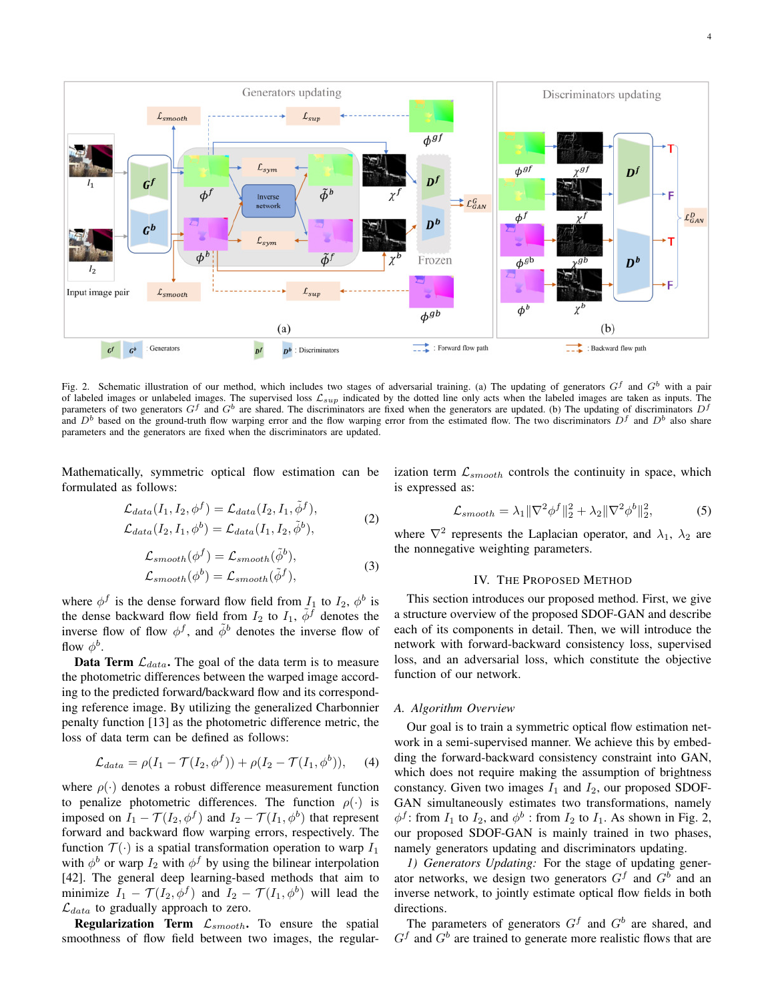

Fig. 2. Schematic illustration of our method, which includes two stages of adversarial training. (a) The updating of generators  $G^f$  and  $G^b$  with a pair of labeled images or unlabeled images. The supervised loss  $\mathcal{L}_{sup}$  indicated by the dotted line only acts when the labeled images are taken as inputs. The parameters of two generators  $G<sup>f</sup>$  and  $G<sup>b</sup>$  are shared. The discriminators are fixed when the generators are updated. (b) The updating of discriminators  $D<sup>f</sup>$ and  $D<sup>b</sup>$  based on the ground-truth flow warping error and the flow warping error from the estimated flow. The two discriminators  $D<sup>f</sup>$  and  $D<sup>b</sup>$  also share parameters and the generators are fixed when the discriminators are updated.

Mathematically, symmetric optical flow estimation can be formulated as follows:

$$
\mathcal{L}_{data}(I_1, I_2, \phi^f) = \mathcal{L}_{data}(I_2, I_1, \tilde{\phi}^f),
$$
\n
$$
\mathcal{L}_{data}(I_1, I_2, \phi^f) = \mathcal{L}_{data}(I_2, I_1, \tilde{\phi}^f),
$$
\n
$$
(2)
$$

$$
\mathcal{L}_{data}(I_2, I_1, \phi^b) = \mathcal{L}_{data}(I_1, I_2, \tilde{\phi}^b), \tag{2}
$$

$$
\mathcal{L}_{smooth}(\phi^f) = \mathcal{L}_{smooth}(\tilde{\phi}^b),
$$
  

$$
\mathcal{L}_{smooth}(\phi^b) = \mathcal{L}_{smooth}(\tilde{\phi}^f),
$$
 (3)

where  $\phi^f$  is the dense forward flow field from  $I_1$  to  $I_2$ ,  $\phi^b$  is the dense backward flow field from  $I_2$  to  $I_1$ ,  $\phi^f$  denotes the inverse flow of flow  $\phi^f$ , and  $\tilde{\phi}^b$  denotes the inverse flow of flow  $\phi^b$ .

**Data Term**  $\mathcal{L}_{data}$ . The goal of the data term is to measure the photometric differences between the warped image according to the predicted forward/backward flow and its corresponding reference image. By utilizing the generalized Charbonnier penalty function [13] as the photometric difference metric, the loss of data term can be defined as follows:

$$
\mathcal{L}_{data} = \rho(I_1 - \mathcal{T}(I_2, \phi^f)) + \rho(I_2 - \mathcal{T}(I_1, \phi^b)), \quad (4)
$$

where  $\rho(\cdot)$  denotes a robust difference measurement function to penalize photometric differences. The function  $\rho(\cdot)$  is imposed on  $I_1 - \mathcal{T}(I_2, \phi^f)$  and  $I_2 - \mathcal{T}(I_1, \phi^b)$  that represent forward and backward flow warping errors, respectively. The function  $\mathcal{T}(\cdot)$  is a spatial transformation operation to warp  $I_1$ with  $\phi^b$  or warp  $I_2$  with  $\phi^f$  by using the bilinear interpolation [42]. The general deep learning-based methods that aim to minimize  $I_1 - \mathcal{T}(I_2, \phi^f)$  and  $I_2 - \mathcal{T}(I_1, \phi^b)$  will lead the  $\mathcal{L}_{data}$  to gradually approach to zero.

**Regularization Term**  $\mathcal{L}_{smooth}$ . To ensure the spatial smoothness of flow field between two images, the regularization term  $\mathcal{L}_{smooth}$  controls the continuity in space, which is expressed as:

$$
\mathcal{L}_{smooth} = \lambda_1 \|\nabla^2 \phi^f\|_2^2 + \lambda_2 \|\nabla^2 \phi^b\|_2^2, \tag{5}
$$

where  $\nabla^2$  represents the Laplacian operator, and  $\lambda_1$ ,  $\lambda_2$  are the nonnegative weighting parameters.

## IV. THE PROPOSED METHOD

This section introduces our proposed method. First, we give a structure overview of the proposed SDOF-GAN and describe each of its components in detail. Then, we will introduce the network with forward-backward consistency loss, supervised loss, and an adversarial loss, which constitute the objective function of our network.

## *A. Algorithm Overview*

Our goal is to train a symmetric optical flow estimation network in a semi-supervised manner. We achieve this by embedding the forward-backward consistency constraint into GAN, which does not require making the assumption of brightness constancy. Given two images  $I_1$  and  $I_2$ , our proposed SDOF-GAN simultaneously estimates two transformations, namely  $\phi^f$ : from  $I_1$  to  $I_2$ , and  $\phi^b$ : from  $I_2$  to  $I_1$ . As shown in Fig. 2, our proposed SDOF-GAN is mainly trained in two phases, namely generators updating and discriminators updating.

*1) Generators Updating:* For the stage of updating generator networks, we design two generators  $G<sup>f</sup>$  and  $G<sup>b</sup>$  and an inverse network, to jointly estimate optical flow fields in both directions.

The parameters of generators  $G<sup>f</sup>$  and  $G<sup>b</sup>$  are shared, and  $G<sup>f</sup>$  and  $G<sup>b</sup>$  are trained to generate more realistic flows that are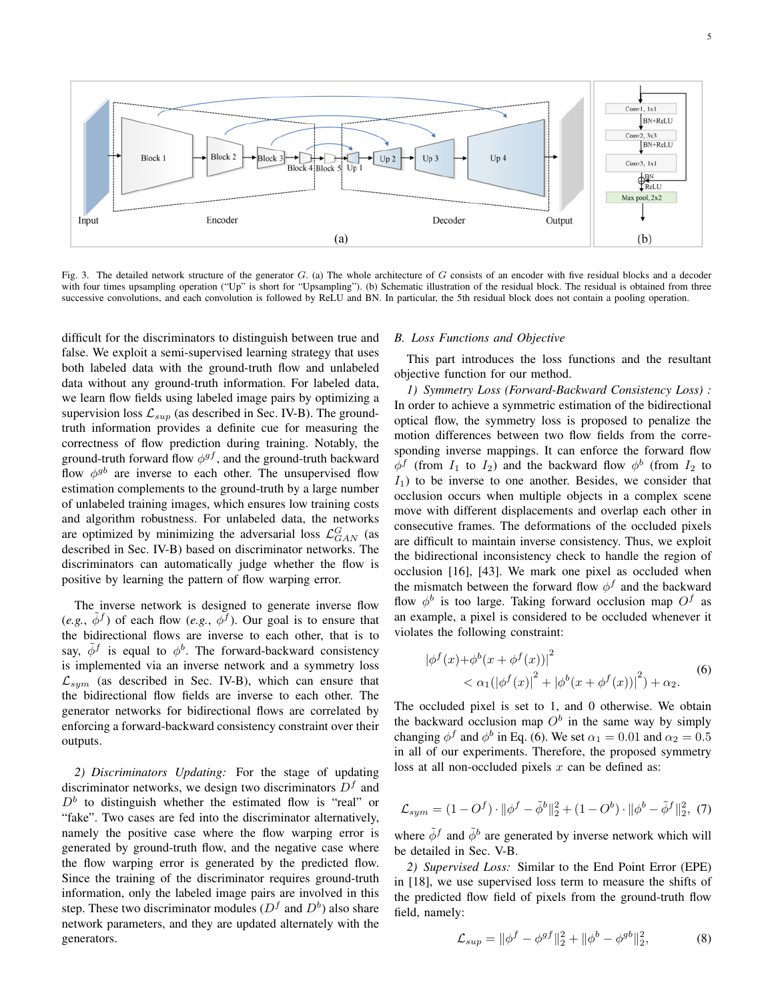

Fig. 3. The detailed network structure of the generator  $G$ . (a) The whole architecture of  $G$  consists of an encoder with five residual blocks and a decoder with four times upsampling operation ("Up" is short for "Upsampling"). (b) Schematic illustration of the residual block. The residual is obtained from three successive convolutions, and each convolution is followed by ReLU and BN. In particular, the 5th residual block does not contain a pooling operation.

difficult for the discriminators to distinguish between true and false. We exploit a semi-supervised learning strategy that uses both labeled data with the ground-truth flow and unlabeled data without any ground-truth information. For labeled data, we learn flow fields using labeled image pairs by optimizing a supervision loss  $\mathcal{L}_{sup}$  (as described in Sec. IV-B). The groundtruth information provides a definite cue for measuring the correctness of flow prediction during training. Notably, the ground-truth forward flow  $\phi^{gf}$ , and the ground-truth backward flow  $\phi^{gb}$  are inverse to each other. The unsupervised flow estimation complements to the ground-truth by a large number of unlabeled training images, which ensures low training costs and algorithm robustness. For unlabeled data, the networks are optimized by minimizing the adversarial loss  $\mathcal{L}_{GAN}^{G}$  (as described in Sec. IV-B) based on discriminator networks. The discriminators can automatically judge whether the flow is positive by learning the pattern of flow warping error.

The inverse network is designed to generate inverse flow  $(e.g., \tilde{\phi}^f)$  of each flow  $(e.g., \phi^f)$ . Our goal is to ensure that the bidirectional flows are inverse to each other, that is to say,  $\tilde{\phi}^f$  is equal to  $\phi^b$ . The forward-backward consistency is implemented via an inverse network and a symmetry loss  $\mathcal{L}_{sym}$  (as described in Sec. IV-B), which can ensure that the bidirectional flow fields are inverse to each other. The generator networks for bidirectional flows are correlated by enforcing a forward-backward consistency constraint over their outputs.

*2) Discriminators Updating:* For the stage of updating discriminator networks, we design two discriminators  $D<sup>f</sup>$  and  $D<sup>b</sup>$  to distinguish whether the estimated flow is "real" or "fake". Two cases are fed into the discriminator alternatively, namely the positive case where the flow warping error is generated by ground-truth flow, and the negative case where the flow warping error is generated by the predicted flow. Since the training of the discriminator requires ground-truth information, only the labeled image pairs are involved in this step. These two discriminator modules ( $D<sup>f</sup>$  and  $D<sup>b</sup>$ ) also share network parameters, and they are updated alternately with the generators.

#### *B. Loss Functions and Objective*

This part introduces the loss functions and the resultant objective function for our method.

*1) Symmetry Loss (Forward-Backward Consistency Loss) :* In order to achieve a symmetric estimation of the bidirectional optical flow, the symmetry loss is proposed to penalize the motion differences between two flow fields from the corresponding inverse mappings. It can enforce the forward flow  $\phi^f$  (from  $I_1$  to  $I_2$ ) and the backward flow  $\phi^b$  (from  $I_2$  to  $I_1$ ) to be inverse to one another. Besides, we consider that occlusion occurs when multiple objects in a complex scene move with different displacements and overlap each other in consecutive frames. The deformations of the occluded pixels are difficult to maintain inverse consistency. Thus, we exploit the bidirectional inconsistency check to handle the region of occlusion [16], [43]. We mark one pixel as occluded when the mismatch between the forward flow  $\phi^f$  and the backward flow  $\phi^b$  is too large. Taking forward occlusion map  $O^f$  as an example, a pixel is considered to be occluded whenever it violates the following constraint:

$$
|\phi^f(x) + \phi^b(x + \phi^f(x))|^2
$$
  

$$
< \alpha_1 (|\phi^f(x)|^2 + |\phi^b(x + \phi^f(x))|^2) + \alpha_2.
$$
 (6)

The occluded pixel is set to 1, and 0 otherwise. We obtain the backward occlusion map  $O<sup>b</sup>$  in the same way by simply changing  $\phi^f$  and  $\phi^b$  in Eq. (6). We set  $\alpha_1 = 0.01$  and  $\alpha_2 = 0.5$ in all of our experiments. Therefore, the proposed symmetry loss at all non-occluded pixels  $x$  can be defined as:

$$
\mathcal{L}_{sym} = (1 - O^f) \cdot ||\phi^f - \tilde{\phi}^b||_2^2 + (1 - O^b) \cdot ||\phi^b - \tilde{\phi}^f||_2^2, (7)
$$

where  $\tilde{\phi}^f$  and  $\tilde{\phi}^b$  are generated by inverse network which will be detailed in Sec. V-B.

*2) Supervised Loss:* Similar to the End Point Error (EPE) in [18], we use supervised loss term to measure the shifts of the predicted flow field of pixels from the ground-truth flow field, namely:

$$
\mathcal{L}_{sup} = \|\phi^f - \phi^{gf}\|_2^2 + \|\phi^b - \phi^{gb}\|_2^2, \tag{8}
$$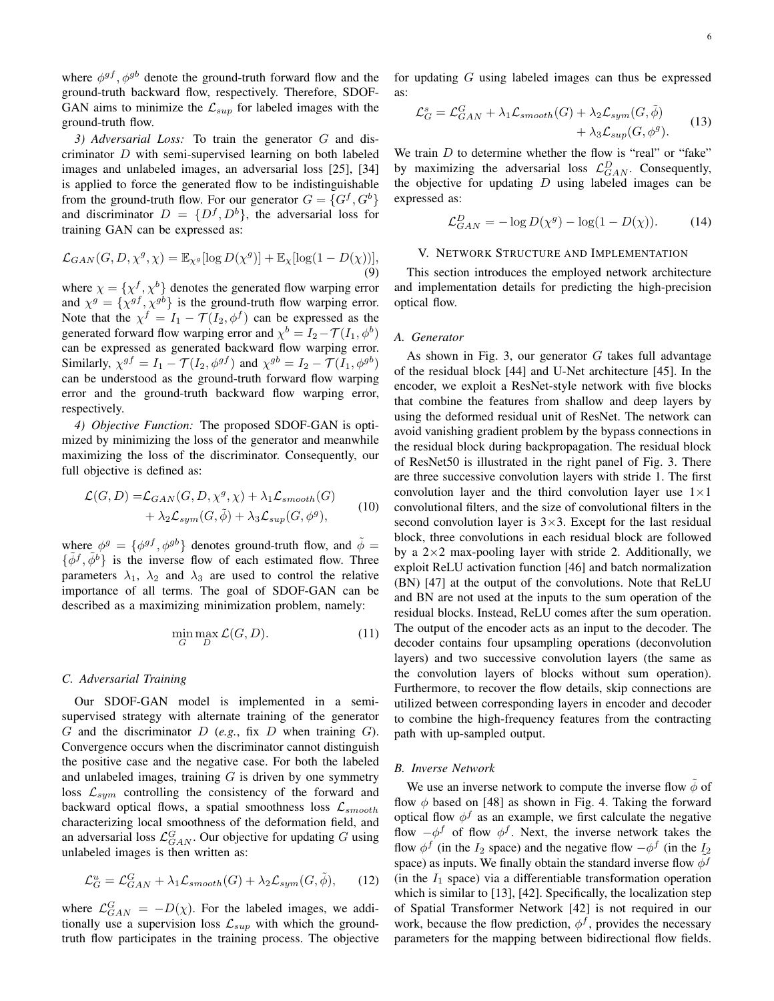where  $\phi^{gf}$ ,  $\phi^{gb}$  denote the ground-truth forward flow and the ground-truth backward flow, respectively. Therefore, SDOF-GAN aims to minimize the  $\mathcal{L}_{sup}$  for labeled images with the ground-truth flow.

*3) Adversarial Loss:* To train the generator G and discriminator D with semi-supervised learning on both labeled images and unlabeled images, an adversarial loss [25], [34] is applied to force the generated flow to be indistinguishable from the ground-truth flow. For our generator  $G = \{G^f, G^b\}$ and discriminator  $D = \{D^f, D^b\}$ , the adversarial loss for training GAN can be expressed as:

$$
\mathcal{L}_{GAN}(G, D, \chi^g, \chi) = \mathbb{E}_{\chi^g}[\log D(\chi^g)] + \mathbb{E}_{\chi}[\log(1 - D(\chi))],
$$
\n(9)

where  $\chi = {\{\chi^f, \chi^b\}}$  denotes the generated flow warping error and  $\chi^g = {\chi^{gf}, \chi^{gb}}$  is the ground-truth flow warping error. Note that the  $\chi^f = I_1 - \mathcal{T}(I_2, \phi^f)$  can be expressed as the generated forward flow warping error and  $\chi^b = I_2 - \mathcal{T}(I_1, \phi^b)$ can be expressed as generated backward flow warping error. Similarly,  $\chi^{gf} = I_1 - \mathcal{T}(I_2, \phi^{gf})$  and  $\chi^{gb} = I_2 - \mathcal{T}(I_1, \phi^{gb})$ can be understood as the ground-truth forward flow warping error and the ground-truth backward flow warping error, respectively.

*4) Objective Function:* The proposed SDOF-GAN is optimized by minimizing the loss of the generator and meanwhile maximizing the loss of the discriminator. Consequently, our full objective is defined as:

$$
\mathcal{L}(G, D) = \mathcal{L}_{GAN}(G, D, \chi^g, \chi) + \lambda_1 \mathcal{L}_{smooth}(G) + \lambda_2 \mathcal{L}_{sym}(G, \tilde{\phi}) + \lambda_3 \mathcal{L}_{sup}(G, \phi^g),
$$
(10)

where  $\phi^g = {\phi^{gf}, \phi^{gb}}$  denotes ground-truth flow, and  $\tilde{\phi} =$  $\{\tilde{\phi}^f, \tilde{\phi}^b\}$  is the inverse flow of each estimated flow. Three parameters  $\lambda_1$ ,  $\lambda_2$  and  $\lambda_3$  are used to control the relative importance of all terms. The goal of SDOF-GAN can be described as a maximizing minimization problem, namely:

$$
\min_{G} \max_{D} \mathcal{L}(G, D). \tag{11}
$$

#### *C. Adversarial Training*

Our SDOF-GAN model is implemented in a semisupervised strategy with alternate training of the generator G and the discriminator D (*e.g.*, fix D when training G). Convergence occurs when the discriminator cannot distinguish the positive case and the negative case. For both the labeled and unlabeled images, training  $G$  is driven by one symmetry loss  $\mathcal{L}_{sym}$  controlling the consistency of the forward and backward optical flows, a spatial smoothness loss  $\mathcal{L}_{smooth}$ characterizing local smoothness of the deformation field, and an adversarial loss  $\mathcal{L}_{GAN}^{G}$ . Our objective for updating G using unlabeled images is then written as:

$$
\mathcal{L}_G^u = \mathcal{L}_{GAN}^G + \lambda_1 \mathcal{L}_{smooth}(G) + \lambda_2 \mathcal{L}_{sym}(G, \tilde{\phi}), \qquad (12)
$$

where  $\mathcal{L}_{GAN}^{G} = -D(\chi)$ . For the labeled images, we additionally use a supervision loss  $\mathcal{L}_{sup}$  with which the groundtruth flow participates in the training process. The objective for updating G using labeled images can thus be expressed as:

$$
\mathcal{L}_G^s = \mathcal{L}_{GAN}^G + \lambda_1 \mathcal{L}_{smooth}(G) + \lambda_2 \mathcal{L}_{sym}(G, \tilde{\phi}) + \lambda_3 \mathcal{L}_{sup}(G, \phi^g).
$$
 (13)

We train  $D$  to determine whether the flow is "real" or "fake" by maximizing the adversarial loss  $\mathcal{L}_{GAN}^D$ . Consequently, the objective for updating  $D$  using labeled images can be expressed as:

$$
\mathcal{L}_{GAN}^D = -\log D(\chi^g) - \log(1 - D(\chi)).\tag{14}
$$

## V. NETWORK STRUCTURE AND IMPLEMENTATION

This section introduces the employed network architecture and implementation details for predicting the high-precision optical flow.

## *A. Generator*

As shown in Fig. 3, our generator  $G$  takes full advantage of the residual block [44] and U-Net architecture [45]. In the encoder, we exploit a ResNet-style network with five blocks that combine the features from shallow and deep layers by using the deformed residual unit of ResNet. The network can avoid vanishing gradient problem by the bypass connections in the residual block during backpropagation. The residual block of ResNet50 is illustrated in the right panel of Fig. 3. There are three successive convolution layers with stride 1. The first convolution layer and the third convolution layer use  $1 \times 1$ convolutional filters, and the size of convolutional filters in the second convolution layer is  $3\times3$ . Except for the last residual block, three convolutions in each residual block are followed by a  $2\times 2$  max-pooling layer with stride 2. Additionally, we exploit ReLU activation function [46] and batch normalization (BN) [47] at the output of the convolutions. Note that ReLU and BN are not used at the inputs to the sum operation of the residual blocks. Instead, ReLU comes after the sum operation. The output of the encoder acts as an input to the decoder. The decoder contains four upsampling operations (deconvolution layers) and two successive convolution layers (the same as the convolution layers of blocks without sum operation). Furthermore, to recover the flow details, skip connections are utilized between corresponding layers in encoder and decoder to combine the high-frequency features from the contracting path with up-sampled output.

## *B. Inverse Network*

We use an inverse network to compute the inverse flow  $\phi$  of flow  $\phi$  based on [48] as shown in Fig. 4. Taking the forward optical flow  $\phi^f$  as an example, we first calculate the negative flow  $-\phi^f$  of flow  $\phi^f$ . Next, the inverse network takes the flow  $\phi^f$  (in the  $I_2$  space) and the negative flow  $-\phi^f$  (in the  $I_2$ space) as inputs. We finally obtain the standard inverse flow  $\phi^f$ (in the  $I_1$  space) via a differentiable transformation operation which is similar to [13], [42]. Specifically, the localization step of Spatial Transformer Network [42] is not required in our work, because the flow prediction,  $\phi^f$ , provides the necessary parameters for the mapping between bidirectional flow fields.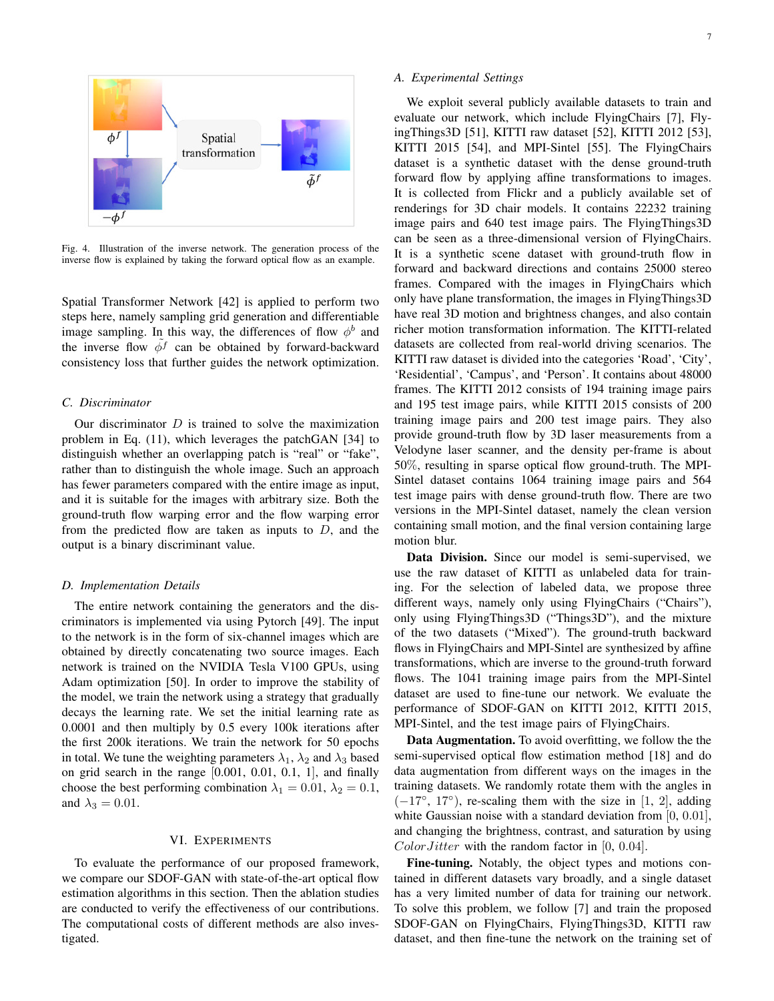

Fig. 4. Illustration of the inverse network. The generation process of the inverse flow is explained by taking the forward optical flow as an example.

Spatial Transformer Network [42] is applied to perform two steps here, namely sampling grid generation and differentiable image sampling. In this way, the differences of flow  $\phi^b$  and the inverse flow  $\phi^f$  can be obtained by forward-backward consistency loss that further guides the network optimization.

## *C. Discriminator*

Our discriminator  $D$  is trained to solve the maximization problem in Eq. (11), which leverages the patchGAN [34] to distinguish whether an overlapping patch is "real" or "fake", rather than to distinguish the whole image. Such an approach has fewer parameters compared with the entire image as input, and it is suitable for the images with arbitrary size. Both the ground-truth flow warping error and the flow warping error from the predicted flow are taken as inputs to  $D$ , and the output is a binary discriminant value.

#### *D. Implementation Details*

The entire network containing the generators and the discriminators is implemented via using Pytorch [49]. The input to the network is in the form of six-channel images which are obtained by directly concatenating two source images. Each network is trained on the NVIDIA Tesla V100 GPUs, using Adam optimization [50]. In order to improve the stability of the model, we train the network using a strategy that gradually decays the learning rate. We set the initial learning rate as 0.0001 and then multiply by 0.5 every 100k iterations after the first 200k iterations. We train the network for 50 epochs in total. We tune the weighting parameters  $\lambda_1$ ,  $\lambda_2$  and  $\lambda_3$  based on grid search in the range [0.001, 0.01, 0.1, 1], and finally choose the best performing combination  $\lambda_1 = 0.01$ ,  $\lambda_2 = 0.1$ , and  $\lambda_3 = 0.01$ .

#### VI. EXPERIMENTS

To evaluate the performance of our proposed framework, we compare our SDOF-GAN with state-of-the-art optical flow estimation algorithms in this section. Then the ablation studies are conducted to verify the effectiveness of our contributions. The computational costs of different methods are also investigated.

## *A. Experimental Settings*

We exploit several publicly available datasets to train and evaluate our network, which include FlyingChairs [7], FlyingThings3D [51], KITTI raw dataset [52], KITTI 2012 [53], KITTI 2015 [54], and MPI-Sintel [55]. The FlyingChairs dataset is a synthetic dataset with the dense ground-truth forward flow by applying affine transformations to images. It is collected from Flickr and a publicly available set of renderings for 3D chair models. It contains 22232 training image pairs and 640 test image pairs. The FlyingThings3D can be seen as a three-dimensional version of FlyingChairs. It is a synthetic scene dataset with ground-truth flow in forward and backward directions and contains 25000 stereo frames. Compared with the images in FlyingChairs which only have plane transformation, the images in FlyingThings3D have real 3D motion and brightness changes, and also contain richer motion transformation information. The KITTI-related datasets are collected from real-world driving scenarios. The KITTI raw dataset is divided into the categories 'Road', 'City', 'Residential', 'Campus', and 'Person'. It contains about 48000 frames. The KITTI 2012 consists of 194 training image pairs and 195 test image pairs, while KITTI 2015 consists of 200 training image pairs and 200 test image pairs. They also provide ground-truth flow by 3D laser measurements from a Velodyne laser scanner, and the density per-frame is about 50%, resulting in sparse optical flow ground-truth. The MPI-Sintel dataset contains 1064 training image pairs and 564 test image pairs with dense ground-truth flow. There are two versions in the MPI-Sintel dataset, namely the clean version containing small motion, and the final version containing large motion blur.

Data Division. Since our model is semi-supervised, we use the raw dataset of KITTI as unlabeled data for training. For the selection of labeled data, we propose three different ways, namely only using FlyingChairs ("Chairs"), only using FlyingThings3D ("Things3D"), and the mixture of the two datasets ("Mixed"). The ground-truth backward flows in FlyingChairs and MPI-Sintel are synthesized by affine transformations, which are inverse to the ground-truth forward flows. The 1041 training image pairs from the MPI-Sintel dataset are used to fine-tune our network. We evaluate the performance of SDOF-GAN on KITTI 2012, KITTI 2015, MPI-Sintel, and the test image pairs of FlyingChairs.

Data Augmentation. To avoid overfitting, we follow the the semi-supervised optical flow estimation method [18] and do data augmentation from different ways on the images in the training datasets. We randomly rotate them with the angles in  $(-17°, 17°)$ , re-scaling them with the size in [1, 2], adding white Gaussian noise with a standard deviation from [0, 0.01], and changing the brightness, contrast, and saturation by using  $Color Jitter$  with the random factor in [0, 0.04].

Fine-tuning. Notably, the object types and motions contained in different datasets vary broadly, and a single dataset has a very limited number of data for training our network. To solve this problem, we follow [7] and train the proposed SDOF-GAN on FlyingChairs, FlyingThings3D, KITTI raw dataset, and then fine-tune the network on the training set of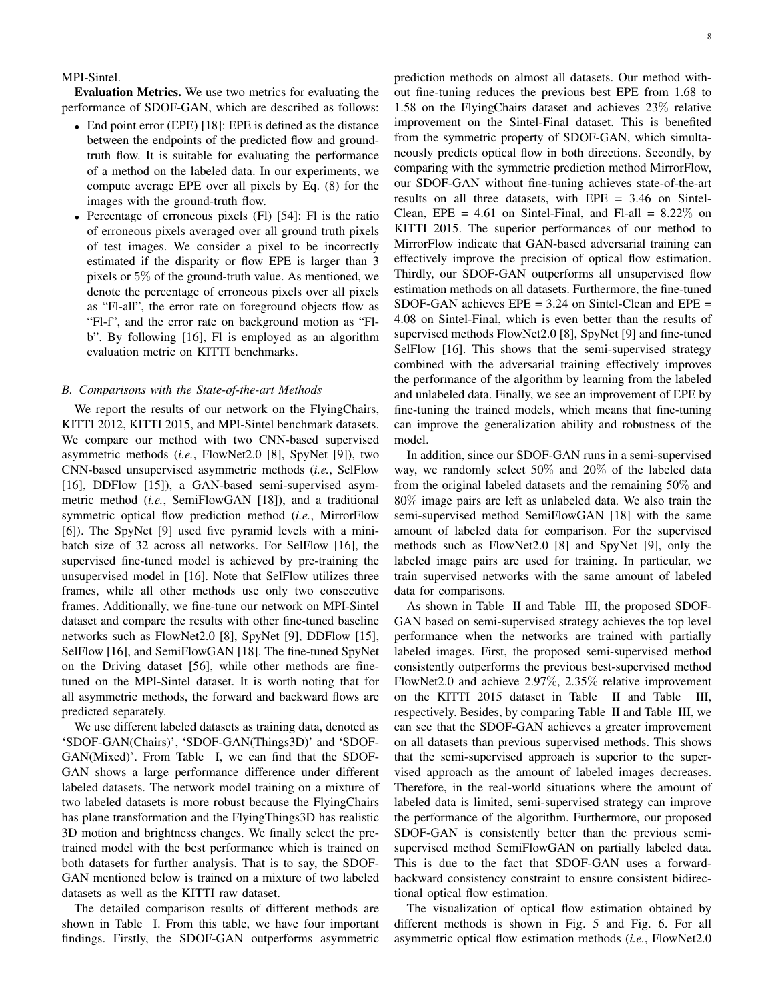MPI-Sintel.

Evaluation Metrics. We use two metrics for evaluating the performance of SDOF-GAN, which are described as follows:

- End point error (EPE) [18]: EPE is defined as the distance between the endpoints of the predicted flow and groundtruth flow. It is suitable for evaluating the performance of a method on the labeled data. In our experiments, we compute average EPE over all pixels by Eq. (8) for the images with the ground-truth flow.
- Percentage of erroneous pixels (Fl) [54]: Fl is the ratio of erroneous pixels averaged over all ground truth pixels of test images. We consider a pixel to be incorrectly estimated if the disparity or flow EPE is larger than 3 pixels or 5% of the ground-truth value. As mentioned, we denote the percentage of erroneous pixels over all pixels as "Fl-all", the error rate on foreground objects flow as "Fl-f", and the error rate on background motion as "Flb". By following [16], Fl is employed as an algorithm evaluation metric on KITTI benchmarks.

## *B. Comparisons with the State-of-the-art Methods*

We report the results of our network on the FlyingChairs, KITTI 2012, KITTI 2015, and MPI-Sintel benchmark datasets. We compare our method with two CNN-based supervised asymmetric methods (*i.e.*, FlowNet2.0 [8], SpyNet [9]), two CNN-based unsupervised asymmetric methods (*i.e.*, SelFlow [16], DDFlow [15]), a GAN-based semi-supervised asymmetric method (*i.e.*, SemiFlowGAN [18]), and a traditional symmetric optical flow prediction method (*i.e.*, MirrorFlow [6]). The SpyNet [9] used five pyramid levels with a minibatch size of 32 across all networks. For SelFlow [16], the supervised fine-tuned model is achieved by pre-training the unsupervised model in [16]. Note that SelFlow utilizes three frames, while all other methods use only two consecutive frames. Additionally, we fine-tune our network on MPI-Sintel dataset and compare the results with other fine-tuned baseline networks such as FlowNet2.0 [8], SpyNet [9], DDFlow [15], SelFlow [16], and SemiFlowGAN [18]. The fine-tuned SpyNet on the Driving dataset [56], while other methods are finetuned on the MPI-Sintel dataset. It is worth noting that for all asymmetric methods, the forward and backward flows are predicted separately.

We use different labeled datasets as training data, denoted as 'SDOF-GAN(Chairs)', 'SDOF-GAN(Things3D)' and 'SDOF-GAN(Mixed)'. From Table I, we can find that the SDOF-GAN shows a large performance difference under different labeled datasets. The network model training on a mixture of two labeled datasets is more robust because the FlyingChairs has plane transformation and the FlyingThings3D has realistic 3D motion and brightness changes. We finally select the pretrained model with the best performance which is trained on both datasets for further analysis. That is to say, the SDOF-GAN mentioned below is trained on a mixture of two labeled datasets as well as the KITTI raw dataset.

The detailed comparison results of different methods are shown in Table I. From this table, we have four important findings. Firstly, the SDOF-GAN outperforms asymmetric

prediction methods on almost all datasets. Our method without fine-tuning reduces the previous best EPE from 1.68 to 1.58 on the FlyingChairs dataset and achieves 23% relative improvement on the Sintel-Final dataset. This is benefited from the symmetric property of SDOF-GAN, which simultaneously predicts optical flow in both directions. Secondly, by comparing with the symmetric prediction method MirrorFlow, our SDOF-GAN without fine-tuning achieves state-of-the-art results on all three datasets, with EPE = 3.46 on Sintel-Clean, EPE =  $4.61$  on Sintel-Final, and Fl-all =  $8.22\%$  on KITTI 2015. The superior performances of our method to MirrorFlow indicate that GAN-based adversarial training can effectively improve the precision of optical flow estimation. Thirdly, our SDOF-GAN outperforms all unsupervised flow estimation methods on all datasets. Furthermore, the fine-tuned SDOF-GAN achieves  $EPE = 3.24$  on Sintel-Clean and  $EPE =$ 4.08 on Sintel-Final, which is even better than the results of supervised methods FlowNet2.0 [8], SpyNet [9] and fine-tuned SelFlow [16]. This shows that the semi-supervised strategy combined with the adversarial training effectively improves the performance of the algorithm by learning from the labeled and unlabeled data. Finally, we see an improvement of EPE by fine-tuning the trained models, which means that fine-tuning can improve the generalization ability and robustness of the model.

In addition, since our SDOF-GAN runs in a semi-supervised way, we randomly select 50% and 20% of the labeled data from the original labeled datasets and the remaining 50% and 80% image pairs are left as unlabeled data. We also train the semi-supervised method SemiFlowGAN [18] with the same amount of labeled data for comparison. For the supervised methods such as FlowNet2.0 [8] and SpyNet [9], only the labeled image pairs are used for training. In particular, we train supervised networks with the same amount of labeled data for comparisons.

As shown in Table II and Table III, the proposed SDOF-GAN based on semi-supervised strategy achieves the top level performance when the networks are trained with partially labeled images. First, the proposed semi-supervised method consistently outperforms the previous best-supervised method FlowNet2.0 and achieve 2.97%, 2.35% relative improvement on the KITTI 2015 dataset in Table II and Table III, respectively. Besides, by comparing Table II and Table III, we can see that the SDOF-GAN achieves a greater improvement on all datasets than previous supervised methods. This shows that the semi-supervised approach is superior to the supervised approach as the amount of labeled images decreases. Therefore, in the real-world situations where the amount of labeled data is limited, semi-supervised strategy can improve the performance of the algorithm. Furthermore, our proposed SDOF-GAN is consistently better than the previous semisupervised method SemiFlowGAN on partially labeled data. This is due to the fact that SDOF-GAN uses a forwardbackward consistency constraint to ensure consistent bidirectional optical flow estimation.

The visualization of optical flow estimation obtained by different methods is shown in Fig. 5 and Fig. 6. For all asymmetric optical flow estimation methods (*i.e.*, FlowNet2.0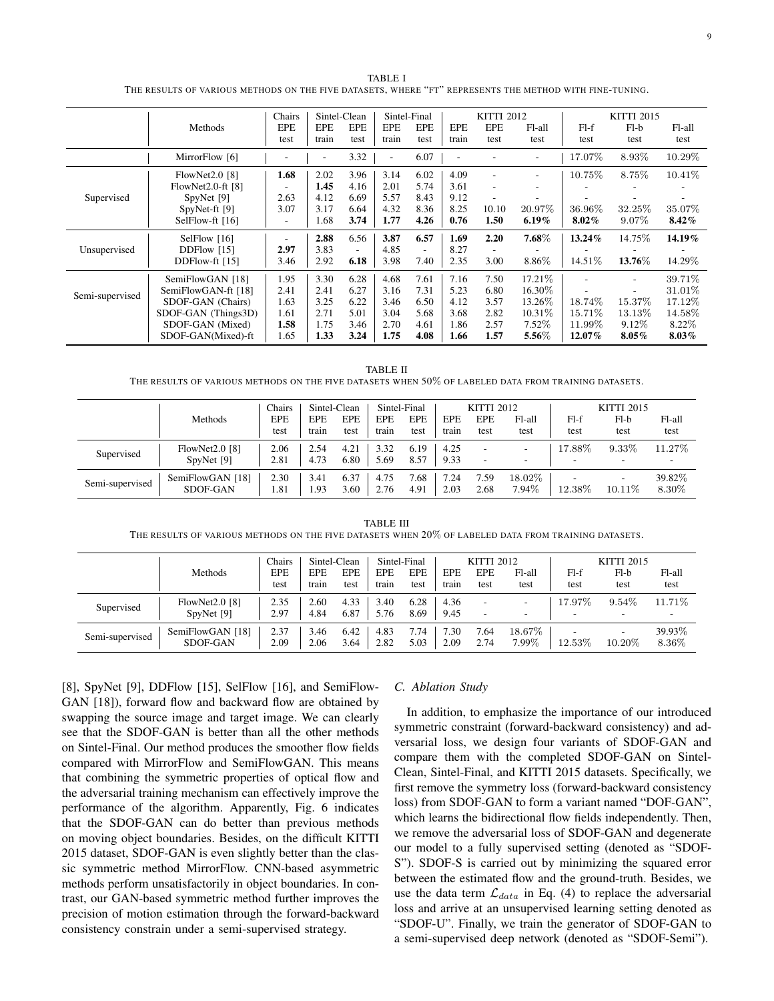TABLE I THE RESULTS OF VARIOUS METHODS ON THE FIVE DATASETS, WHERE "FT" REPRESENTS THE METHOD WITH FINE-TUNING.

|                 |                     | Chairs                   |            | Sintel-Clean             |                          | Sintel-Final |                          | <b>KITTI 2012</b>        |                          | <b>KITTI 2015</b> |                          |          |
|-----------------|---------------------|--------------------------|------------|--------------------------|--------------------------|--------------|--------------------------|--------------------------|--------------------------|-------------------|--------------------------|----------|
|                 | Methods             | <b>EPE</b>               | <b>EPE</b> | <b>EPE</b>               | <b>EPE</b>               | <b>EPE</b>   | <b>EPE</b>               | <b>EPE</b>               | Fl-all                   | $Fl-f$            | $F1-b$                   | Fl-all   |
|                 |                     |                          | train      | test                     | train                    | test         | train                    | test                     | test                     | test              | test                     | test     |
|                 | MirrorFlow [6]      |                          | ٠          | 3.32                     | $\overline{\phantom{a}}$ | 6.07         | $\overline{\phantom{a}}$ |                          |                          | 17.07%            | 8.93%                    | 10.29%   |
|                 | FlowNet2.0 [8]      | 1.68                     | 2.02       | 3.96                     | 3.14                     | 6.02         | 4.09                     | ٠                        | $\overline{\phantom{a}}$ | 10.75%            | 8.75%                    | 10.41\%  |
|                 | $FlowNet2.0-ft [8]$ | ۰.                       | 1.45       | 4.16                     | 2.01                     | 5.74         | 3.61                     | $\overline{\phantom{a}}$ |                          |                   |                          |          |
| Supervised      | SpyNet [9]          | 2.63                     | 4.12       | 6.69                     | 5.57                     | 8.43         | 9.12                     |                          |                          |                   |                          |          |
|                 | SpyNet-ft [9]       | 3.07                     | 3.17       | 6.64                     | 4.32                     | 8.36         | 8.25                     | 10.10                    | 20.97%                   | 36.96%            | 32.25%                   | 35.07%   |
|                 | SelFlow-ft $[16]$   | $\overline{\phantom{a}}$ | .68        | 3.74                     | 1.77                     | 4.26         | 0.76                     | 1.50                     | $6.19\%$                 | $8.02\%$          | 9.07%                    | 8.42%    |
|                 | SelFlow [16]        | $\overline{\phantom{a}}$ | 2.88       | 6.56                     | 3.87                     | 6.57         | 1.69                     | 2.20                     | 7.68%                    | 13.24%            | 14.75\%                  | 14.19%   |
| Unsupervised    | DDFlow $[15]$       | 2.97                     | 3.83       | $\overline{\phantom{a}}$ | 4.85                     | $\sim$       | 8.27                     | ٠                        |                          |                   |                          |          |
|                 | DDFlow-ft [15]      | 3.46                     | 2.92       | 6.18                     | 3.98                     | 7.40         | 2.35                     | 3.00                     | 8.86%                    | 14.51%            | 13.76%                   | 14.29%   |
|                 | SemiFlowGAN [18]    | 1.95                     | 3.30       | 6.28                     | 4.68                     | 7.61         | 7.16                     | 7.50                     | 17.21%                   |                   | $\overline{\phantom{a}}$ | 39.71\%  |
| Semi-supervised | SemiFlowGAN-ft [18] | 2.41                     | 2.41       | 6.27                     | 3.16                     | 7.31         | 5.23                     | 6.80                     | 16.30%                   |                   | ۰                        | 31.01%   |
|                 | SDOF-GAN (Chairs)   | 1.63                     | 3.25       | 6.22                     | 3.46                     | 6.50         | 4.12                     | 3.57                     | 13.26\%                  | 18.74%            | 15.37%                   | 17.12\%  |
|                 | SDOF-GAN (Things3D) | 1.61                     | 2.71       | 5.01                     | 3.04                     | 5.68         | 3.68                     | 2.82                     | 10.31%                   | 15.71%            | 13.13%                   | 14.58%   |
|                 | SDOF-GAN (Mixed)    | 1.58                     | 1.75       | 3.46                     | 2.70                     | 4.61         | 1.86                     | 2.57                     | 7.52%                    | 11.99%            | 9.12\%                   | 8.22%    |
|                 | SDOF-GAN(Mixed)-ft  | 1.65                     | 1.33       | 3.24                     | 1.75                     | 4.08         | 1.66                     | 1.57                     | 5.56%                    | 12.07%            | $8.05\%$                 | $8.03\%$ |

TABLE II THE RESULTS OF VARIOUS METHODS ON THE FIVE DATASETS WHEN 50% OF LABELED DATA FROM TRAINING DATASETS.

|                 |                  | Chairs | Sintel-Clean |            | Sintel-Final |            | <b>KITTI 2012</b> |            |        | <b>KITTI 2015</b> |                          |        |
|-----------------|------------------|--------|--------------|------------|--------------|------------|-------------------|------------|--------|-------------------|--------------------------|--------|
|                 | Methods          | EPE    | <b>EPE</b>   | <b>EPE</b> | <b>EPE</b>   | <b>EPE</b> | <b>EPE</b>        | <b>EPE</b> | Fl-all | $Fl-f$            | $F1-b$                   | Fl-all |
|                 |                  | test   | train        | test       | train        | test       | train             | test       | test   | test              | test                     | test   |
|                 | FlowNet2.0 $[8]$ | 2.06   | 2.54         | 4.21       | 3.32         | 6.19       | 4.25              |            |        | 17.88%            | 9.33%                    | 11.27% |
| Supervised      | SpyNet [9]       | 2.81   | 4.73         | 6.80       | 5.69         | 8.57       | 9.33              | -          | -      |                   |                          |        |
| Semi-supervised | SemiFlowGAN [18] | 2.30   | 3.41         | 6.37       | 4.75         | '.68       | 7.24              | .59        | 18.02% |                   | $\overline{\phantom{a}}$ | 39.82% |
|                 | SDOF-GAN         | 1.81   | 1.93         | 3.60       | 2.76         | 4.91       | 2.03              | 2.68       | 7.94%  | 12.38%            | $10.11\%$                | 8.30%  |

TABLE III THE RESULTS OF VARIOUS METHODS ON THE FIVE DATASETS WHEN 20% OF LABELED DATA FROM TRAINING DATASETS.

|                 |                  | Chairs |       | Sintel-Clean |            | Sintel-Final |                 | <b>KITTI 2012</b> |        |        | <b>KITTI 2015</b> |        |  |
|-----------------|------------------|--------|-------|--------------|------------|--------------|-----------------|-------------------|--------|--------|-------------------|--------|--|
|                 | Methods          |        | EPE   | <b>EPE</b>   | <b>EPE</b> | <b>EPE</b>   | <b>EPE</b>      | <b>EPE</b>        | Fl-all | $Fl-f$ | $F1-b$            | Fl-all |  |
|                 |                  | test   | train | test         | train      | test         | train           | test              | test   | test   | test              | test   |  |
| Supervised      | FlowNet2.0 [8]   | 2.35   | 2.60  | 4.33         | 3.40       | 6.28         | 4.36            | -                 | -      | 17.97% | 9.54%             | 11.71% |  |
|                 | SpyNet [9]       | 2.97   | 4.84  | 6.87         | 5.76       | 8.69         | 9.45            | ۰.                | -      |        |                   |        |  |
| Semi-supervised | SemiFlowGAN [18] | 2.37   | 3.46  | 6.42         | 4.83       | 7.74         | $^{\prime}$ .30 | 7.64              | 18.67% |        |                   | 39.93% |  |
|                 | SDOF-GAN         | 2.09   | 2.06  | 3.64         | 2.82       | 5.03         | 2.09            | 2.74              | 7.99%  | 12.53% | 10.20%            | 8.36%  |  |

[8], SpyNet [9], DDFlow [15], SelFlow [16], and SemiFlow-GAN [18]), forward flow and backward flow are obtained by swapping the source image and target image. We can clearly see that the SDOF-GAN is better than all the other methods on Sintel-Final. Our method produces the smoother flow fields compared with MirrorFlow and SemiFlowGAN. This means that combining the symmetric properties of optical flow and the adversarial training mechanism can effectively improve the performance of the algorithm. Apparently, Fig. 6 indicates that the SDOF-GAN can do better than previous methods on moving object boundaries. Besides, on the difficult KITTI 2015 dataset, SDOF-GAN is even slightly better than the classic symmetric method MirrorFlow. CNN-based asymmetric methods perform unsatisfactorily in object boundaries. In contrast, our GAN-based symmetric method further improves the precision of motion estimation through the forward-backward consistency constrain under a semi-supervised strategy.

#### *C. Ablation Study*

In addition, to emphasize the importance of our introduced symmetric constraint (forward-backward consistency) and adversarial loss, we design four variants of SDOF-GAN and compare them with the completed SDOF-GAN on Sintel-Clean, Sintel-Final, and KITTI 2015 datasets. Specifically, we first remove the symmetry loss (forward-backward consistency loss) from SDOF-GAN to form a variant named "DOF-GAN", which learns the bidirectional flow fields independently. Then, we remove the adversarial loss of SDOF-GAN and degenerate our model to a fully supervised setting (denoted as "SDOF-S"). SDOF-S is carried out by minimizing the squared error between the estimated flow and the ground-truth. Besides, we use the data term  $\mathcal{L}_{data}$  in Eq. (4) to replace the adversarial loss and arrive at an unsupervised learning setting denoted as "SDOF-U". Finally, we train the generator of SDOF-GAN to a semi-supervised deep network (denoted as "SDOF-Semi").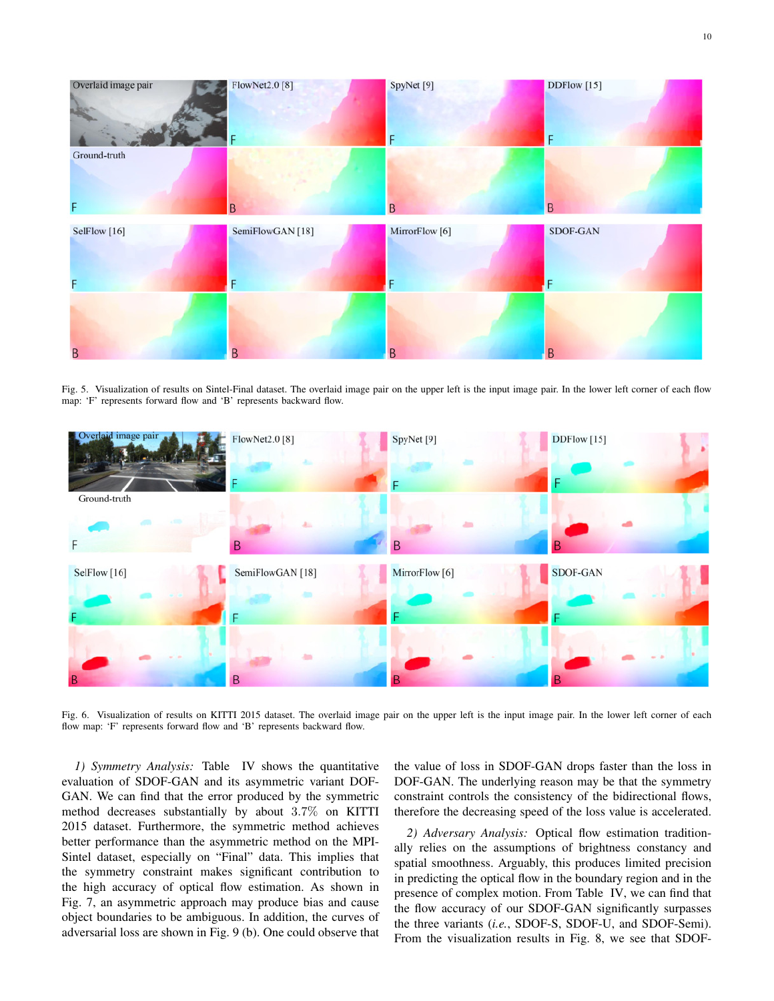

Fig. 5. Visualization of results on Sintel-Final dataset. The overlaid image pair on the upper left is the input image pair. In the lower left corner of each flow map: 'F' represents forward flow and 'B' represents backward flow.



Fig. 6. Visualization of results on KITTI 2015 dataset. The overlaid image pair on the upper left is the input image pair. In the lower left corner of each flow map: 'F' represents forward flow and 'B' represents backward flow.

*1) Symmetry Analysis:* Table IV shows the quantitative evaluation of SDOF-GAN and its asymmetric variant DOF-GAN. We can find that the error produced by the symmetric method decreases substantially by about 3.7% on KITTI 2015 dataset. Furthermore, the symmetric method achieves better performance than the asymmetric method on the MPI-Sintel dataset, especially on "Final" data. This implies that the symmetry constraint makes significant contribution to the high accuracy of optical flow estimation. As shown in Fig. 7, an asymmetric approach may produce bias and cause object boundaries to be ambiguous. In addition, the curves of adversarial loss are shown in Fig. 9 (b). One could observe that the value of loss in SDOF-GAN drops faster than the loss in DOF-GAN. The underlying reason may be that the symmetry constraint controls the consistency of the bidirectional flows, therefore the decreasing speed of the loss value is accelerated.

*2) Adversary Analysis:* Optical flow estimation traditionally relies on the assumptions of brightness constancy and spatial smoothness. Arguably, this produces limited precision in predicting the optical flow in the boundary region and in the presence of complex motion. From Table IV, we can find that the flow accuracy of our SDOF-GAN significantly surpasses the three variants (*i.e.*, SDOF-S, SDOF-U, and SDOF-Semi). From the visualization results in Fig. 8, we see that SDOF-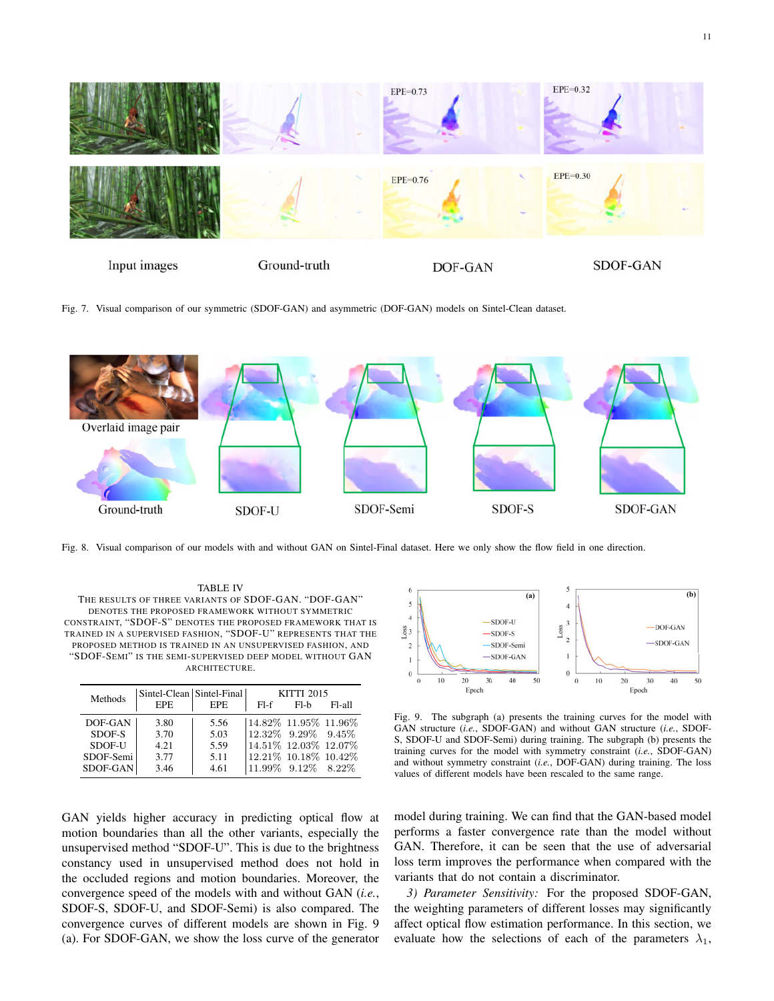

Fig. 7. Visual comparison of our symmetric (SDOF-GAN) and asymmetric (DOF-GAN) models on Sintel-Clean dataset.



Fig. 8. Visual comparison of our models with and without GAN on Sintel-Final dataset. Here we only show the flow field in one direction.

TABLE IV THE RESULTS OF THREE VARIANTS OF SDOF-GAN. "DOF-GAN" DENOTES THE PROPOSED FRAMEWORK WITHOUT SYMMETRIC CONSTRAINT, "SDOF-S" DENOTES THE PROPOSED FRAMEWORK THAT IS TRAINED IN A SUPERVISED FASHION, "SDOF-U" REPRESENTS THAT THE PROPOSED METHOD IS TRAINED IN AN UNSUPERVISED FASHION, AND "SDOF-SEMI" IS THE SEMI-SUPERVISED DEEP MODEL WITHOUT GAN ARCHITECTURE.

| Methods   | Sintel-Clean   Sintel-Final |      | <b>KITTI 2015</b>        |        |           |  |  |  |  |
|-----------|-----------------------------|------|--------------------------|--------|-----------|--|--|--|--|
|           | <b>EPE</b>                  | EPE. | $F[-f]$                  | $F1-h$ | $F1-$ all |  |  |  |  |
| DOF-GAN   | 3.80                        | 5.56 | $14.82\%$ 11.95% 11.96%  |        |           |  |  |  |  |
| SDOF-S    | 3.70                        | 5.03 | $12.32\%$ 9.29\% 9.45\%  |        |           |  |  |  |  |
| SDOF-U    | 4.21                        | 5.59 | 14.51% 12.03% 12.07%     |        |           |  |  |  |  |
| SDOF-Semi | 3.77                        | 5.11 | 12.21% 10.18% 10.42%     |        |           |  |  |  |  |
| SDOF-GAN  | 3.46                        | 4.61 | $ 11.99\%$ 9.12\% 8.22\% |        |           |  |  |  |  |

GAN yields higher accuracy in predicting optical flow at motion boundaries than all the other variants, especially the unsupervised method "SDOF-U". This is due to the brightness constancy used in unsupervised method does not hold in the occluded regions and motion boundaries. Moreover, the convergence speed of the models with and without GAN (*i.e.*, SDOF-S, SDOF-U, and SDOF-Semi) is also compared. The convergence curves of different models are shown in Fig. 9 (a). For SDOF-GAN, we show the loss curve of the generator



Fig. 9. The subgraph (a) presents the training curves for the model with GAN structure (*i.e.*, SDOF-GAN) and without GAN structure (*i.e.*, SDOF-S, SDOF-U and SDOF-Semi) during training. The subgraph (b) presents the training curves for the model with symmetry constraint (*i.e.*, SDOF-GAN) and without symmetry constraint (*i.e.*, DOF-GAN) during training. The loss values of different models have been rescaled to the same range.

model during training. We can find that the GAN-based model performs a faster convergence rate than the model without GAN. Therefore, it can be seen that the use of adversarial loss term improves the performance when compared with the variants that do not contain a discriminator.

*3) Parameter Sensitivity:* For the proposed SDOF-GAN, the weighting parameters of different losses may significantly affect optical flow estimation performance. In this section, we evaluate how the selections of each of the parameters  $\lambda_1$ ,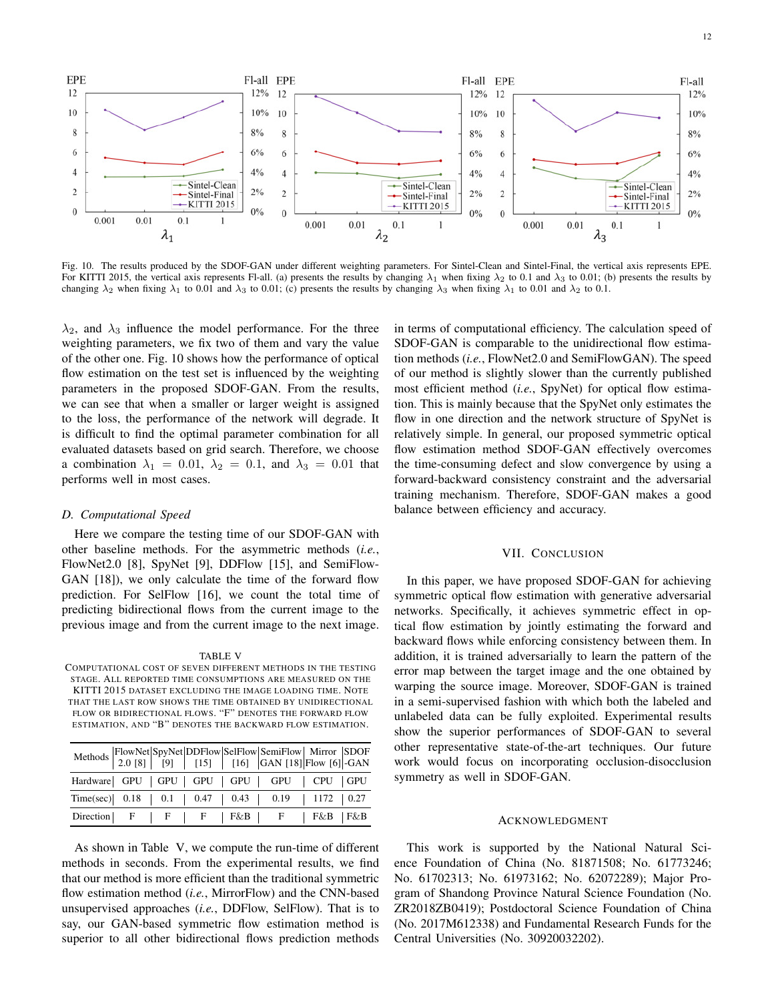

Fig. 10. The results produced by the SDOF-GAN under different weighting parameters. For Sintel-Clean and Sintel-Final, the vertical axis represents EPE. For KITTI 2015, the vertical axis represents Fl-all. (a) presents the results by changing  $\lambda_1$  when fixing  $\lambda_2$  to 0.1 and  $\lambda_3$  to 0.01; (b) presents the results by changing  $\lambda_2$  when fixing  $\lambda_1$  to 0.01 and  $\lambda_3$  to 0.01; (c) presents the results by changing  $\lambda_3$  when fixing  $\lambda_1$  to 0.01 and  $\lambda_2$  to 0.1.

 $\lambda_2$ , and  $\lambda_3$  influence the model performance. For the three weighting parameters, we fix two of them and vary the value of the other one. Fig. 10 shows how the performance of optical flow estimation on the test set is influenced by the weighting parameters in the proposed SDOF-GAN. From the results, we can see that when a smaller or larger weight is assigned to the loss, the performance of the network will degrade. It is difficult to find the optimal parameter combination for all evaluated datasets based on grid search. Therefore, we choose a combination  $\lambda_1 = 0.01$ ,  $\lambda_2 = 0.1$ , and  $\lambda_3 = 0.01$  that performs well in most cases.

## *D. Computational Speed*

Here we compare the testing time of our SDOF-GAN with other baseline methods. For the asymmetric methods (*i.e.*, FlowNet2.0 [8], SpyNet [9], DDFlow [15], and SemiFlow-GAN [18]), we only calculate the time of the forward flow prediction. For SelFlow [16], we count the total time of predicting bidirectional flows from the current image to the previous image and from the current image to the next image.

#### TABLE V

COMPUTATIONAL COST OF SEVEN DIFFERENT METHODS IN THE TESTING STAGE. ALL REPORTED TIME CONSUMPTIONS ARE MEASURED ON THE KITTI 2015 DATASET EXCLUDING THE IMAGE LOADING TIME. NOTE THAT THE LAST ROW SHOWS THE TIME OBTAINED BY UNIDIRECTIONAL FLOW OR BIDIRECTIONAL FLOWS. "F" DENOTES THE FORWARD FLOW ESTIMATION, AND "B" DENOTES THE BACKWARD FLOW ESTIMATION.

| Methods   FlowNet   SpyNet   DDFlow   Selflow   SemiFlow   Mirror   SDOF<br>  2.0 [8]   [9]   [15]   [16]   GAN [18]   Flow [6]   -GAN |  |  |  |  |  |
|----------------------------------------------------------------------------------------------------------------------------------------|--|--|--|--|--|
| Hardware GPU   GPU   GPU   GPU   GPU   CPU   GPU                                                                                       |  |  |  |  |  |
| Time(sec) $0.18$   0.1   0.47   0.43   0.19   1172   0.27                                                                              |  |  |  |  |  |
| Direction   F   F   F   F&B   F   F&B   F&B                                                                                            |  |  |  |  |  |

As shown in Table V, we compute the run-time of different methods in seconds. From the experimental results, we find that our method is more efficient than the traditional symmetric flow estimation method (*i.e.*, MirrorFlow) and the CNN-based unsupervised approaches (*i.e.*, DDFlow, SelFlow). That is to say, our GAN-based symmetric flow estimation method is superior to all other bidirectional flows prediction methods in terms of computational efficiency. The calculation speed of SDOF-GAN is comparable to the unidirectional flow estimation methods (*i.e.*, FlowNet2.0 and SemiFlowGAN). The speed of our method is slightly slower than the currently published most efficient method (*i.e.*, SpyNet) for optical flow estimation. This is mainly because that the SpyNet only estimates the flow in one direction and the network structure of SpyNet is relatively simple. In general, our proposed symmetric optical flow estimation method SDOF-GAN effectively overcomes the time-consuming defect and slow convergence by using a forward-backward consistency constraint and the adversarial training mechanism. Therefore, SDOF-GAN makes a good balance between efficiency and accuracy.

#### VII. CONCLUSION

In this paper, we have proposed SDOF-GAN for achieving symmetric optical flow estimation with generative adversarial networks. Specifically, it achieves symmetric effect in optical flow estimation by jointly estimating the forward and backward flows while enforcing consistency between them. In addition, it is trained adversarially to learn the pattern of the error map between the target image and the one obtained by warping the source image. Moreover, SDOF-GAN is trained in a semi-supervised fashion with which both the labeled and unlabeled data can be fully exploited. Experimental results show the superior performances of SDOF-GAN to several other representative state-of-the-art techniques. Our future work would focus on incorporating occlusion-disocclusion symmetry as well in SDOF-GAN.

#### ACKNOWLEDGMENT

This work is supported by the National Natural Science Foundation of China (No. 81871508; No. 61773246; No. 61702313; No. 61973162; No. 62072289); Major Program of Shandong Province Natural Science Foundation (No. ZR2018ZB0419); Postdoctoral Science Foundation of China (No. 2017M612338) and Fundamental Research Funds for the Central Universities (No. 30920032202).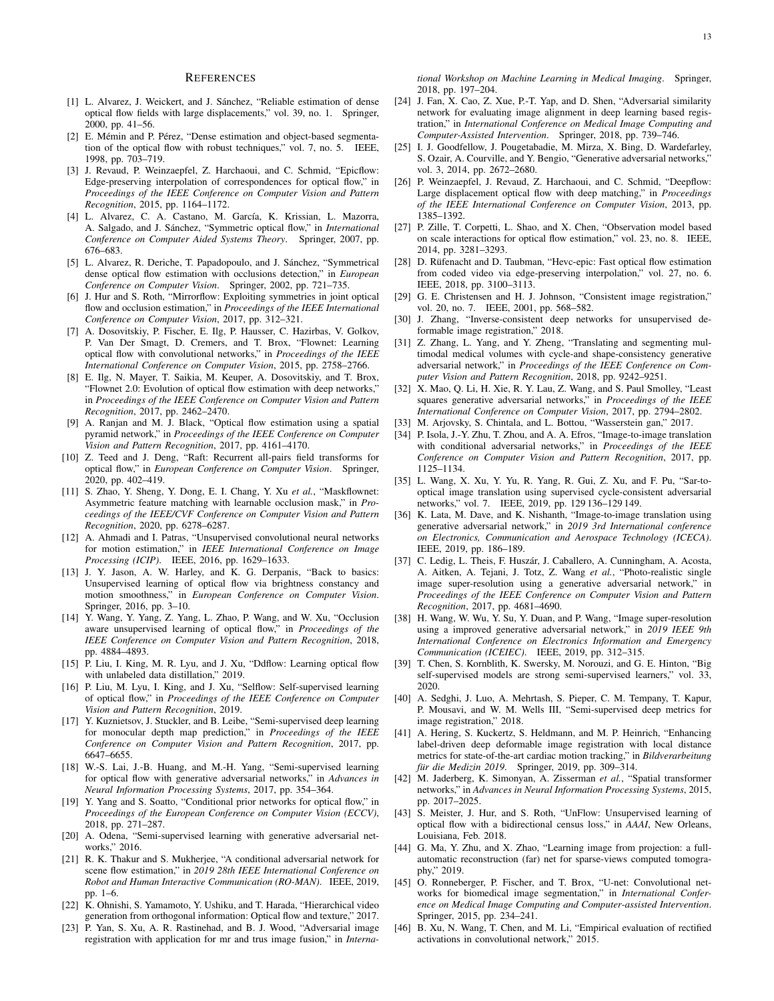#### **REFERENCES**

- [1] L. Alvarez, J. Weickert, and J. Sánchez, "Reliable estimation of dense optical flow fields with large displacements," vol. 39, no. 1. Springer, 2000, pp. 41–56.
- [2] E. Mémin and P. Pérez, "Dense estimation and object-based segmentation of the optical flow with robust techniques," vol. 7, no. 5. IEEE, 1998, pp. 703–719.
- [3] J. Revaud, P. Weinzaepfel, Z. Harchaoui, and C. Schmid, "Epicflow: Edge-preserving interpolation of correspondences for optical flow," in *Proceedings of the IEEE Conference on Computer Vision and Pattern Recognition*, 2015, pp. 1164–1172.
- [4] L. Alvarez, C. A. Castano, M. García, K. Krissian, L. Mazorra, A. Salgado, and J. Sánchez, "Symmetric optical flow," in *International Conference on Computer Aided Systems Theory*. Springer, 2007, pp. 676–683.
- [5] L. Alvarez, R. Deriche, T. Papadopoulo, and J. Sánchez, "Symmetrical dense optical flow estimation with occlusions detection," in *European Conference on Computer Vision*. Springer, 2002, pp. 721–735.
- [6] J. Hur and S. Roth, "Mirrorflow: Exploiting symmetries in joint optical flow and occlusion estimation," in *Proceedings of the IEEE International Conference on Computer Vision*, 2017, pp. 312–321.
- [7] A. Dosovitskiy, P. Fischer, E. Ilg, P. Hausser, C. Hazirbas, V. Golkov, P. Van Der Smagt, D. Cremers, and T. Brox, "Flownet: Learning optical flow with convolutional networks," in *Proceedings of the IEEE International Conference on Computer Vision*, 2015, pp. 2758–2766.
- [8] E. Ilg, N. Mayer, T. Saikia, M. Keuper, A. Dosovitskiy, and T. Brox, "Flownet 2.0: Evolution of optical flow estimation with deep networks," in *Proceedings of the IEEE Conference on Computer Vision and Pattern Recognition*, 2017, pp. 2462–2470.
- [9] A. Ranjan and M. J. Black, "Optical flow estimation using a spatial pyramid network," in *Proceedings of the IEEE Conference on Computer Vision and Pattern Recognition*, 2017, pp. 4161–4170.
- [10] Z. Teed and J. Deng, "Raft: Recurrent all-pairs field transforms for optical flow," in *European Conference on Computer Vision*. Springer, 2020, pp. 402–419.
- [11] S. Zhao, Y. Sheng, Y. Dong, E. I. Chang, Y. Xu *et al.*, "Maskflownet: Asymmetric feature matching with learnable occlusion mask," in *Proceedings of the IEEE/CVF Conference on Computer Vision and Pattern Recognition*, 2020, pp. 6278–6287.
- [12] A. Ahmadi and I. Patras, "Unsupervised convolutional neural networks for motion estimation," in *IEEE International Conference on Image Processing (ICIP)*. IEEE, 2016, pp. 1629–1633.
- [13] J. Y. Jason, A. W. Harley, and K. G. Derpanis, "Back to basics: Unsupervised learning of optical flow via brightness constancy and motion smoothness," in *European Conference on Computer Vision*. Springer, 2016, pp. 3–10.
- [14] Y. Wang, Y. Yang, Z. Yang, L. Zhao, P. Wang, and W. Xu, "Occlusion aware unsupervised learning of optical flow," in *Proceedings of the IEEE Conference on Computer Vision and Pattern Recognition*, 2018, pp. 4884–4893.
- [15] P. Liu, I. King, M. R. Lyu, and J. Xu, "Ddflow: Learning optical flow with unlabeled data distillation," 2019.
- [16] P. Liu, M. Lyu, I. King, and J. Xu, "Selflow: Self-supervised learning of optical flow," in *Proceedings of the IEEE Conference on Computer Vision and Pattern Recognition*, 2019.
- [17] Y. Kuznietsov, J. Stuckler, and B. Leibe, "Semi-supervised deep learning for monocular depth map prediction," in *Proceedings of the IEEE Conference on Computer Vision and Pattern Recognition*, 2017, pp. 6647–6655.
- [18] W.-S. Lai, J.-B. Huang, and M.-H. Yang, "Semi-supervised learning for optical flow with generative adversarial networks," in *Advances in Neural Information Processing Systems*, 2017, pp. 354–364.
- [19] Y. Yang and S. Soatto, "Conditional prior networks for optical flow," in *Proceedings of the European Conference on Computer Vision (ECCV)*, 2018, pp. 271–287.
- [20] A. Odena, "Semi-supervised learning with generative adversarial networks," 2016.
- [21] R. K. Thakur and S. Mukherjee, "A conditional adversarial network for scene flow estimation," in *2019 28th IEEE International Conference on Robot and Human Interactive Communication (RO-MAN)*. IEEE, 2019, pp. 1–6.
- [22] K. Ohnishi, S. Yamamoto, Y. Ushiku, and T. Harada, "Hierarchical video generation from orthogonal information: Optical flow and texture," 2017.
- [23] P. Yan, S. Xu, A. R. Rastinehad, and B. J. Wood, "Adversarial image registration with application for mr and trus image fusion," in *Interna-*

*tional Workshop on Machine Learning in Medical Imaging*. Springer, 2018, pp. 197–204.

- [24] J. Fan, X. Cao, Z. Xue, P.-T. Yap, and D. Shen, "Adversarial similarity network for evaluating image alignment in deep learning based registration," in *International Conference on Medical Image Computing and Computer-Assisted Intervention*. Springer, 2018, pp. 739–746.
- [25] I. J. Goodfellow, J. Pougetabadie, M. Mirza, X. Bing, D. Wardefarley, S. Ozair, A. Courville, and Y. Bengio, "Generative adversarial networks," vol. 3, 2014, pp. 2672–2680.
- [26] P. Weinzaepfel, J. Revaud, Z. Harchaoui, and C. Schmid, "Deepflow: Large displacement optical flow with deep matching," in *Proceedings of the IEEE International Conference on Computer Vision*, 2013, pp. 1385–1392.
- [27] P. Zille, T. Corpetti, L. Shao, and X. Chen, "Observation model based on scale interactions for optical flow estimation," vol. 23, no. 8. IEEE, 2014, pp. 3281–3293.
- [28] D. Rüfenacht and D. Taubman, "Hevc-epic: Fast optical flow estimation from coded video via edge-preserving interpolation," vol. 27, no. 6. IEEE, 2018, pp. 3100–3113.
- [29] G. E. Christensen and H. J. Johnson, "Consistent image registration," vol. 20, no. 7. IEEE, 2001, pp. 568–582.
- [30] J. Zhang, "Inverse-consistent deep networks for unsupervised deformable image registration," 2018.
- [31] Z. Zhang, L. Yang, and Y. Zheng, "Translating and segmenting multimodal medical volumes with cycle-and shape-consistency generative adversarial network," in *Proceedings of the IEEE Conference on Computer Vision and Pattern Recognition*, 2018, pp. 9242–9251.
- [32] X. Mao, Q. Li, H. Xie, R. Y. Lau, Z. Wang, and S. Paul Smolley, "Least squares generative adversarial networks," in *Proceedings of the IEEE International Conference on Computer Vision*, 2017, pp. 2794–2802.
- [33] M. Arjovsky, S. Chintala, and L. Bottou, "Wasserstein gan," 2017.
- [34] P. Isola, J.-Y. Zhu, T. Zhou, and A. A. Efros, "Image-to-image translation with conditional adversarial networks," in *Proceedings of the IEEE Conference on Computer Vision and Pattern Recognition*, 2017, pp. 1125–1134.
- [35] L. Wang, X. Xu, Y. Yu, R. Yang, R. Gui, Z. Xu, and F. Pu, "Sar-tooptical image translation using supervised cycle-consistent adversarial networks," vol. 7. IEEE, 2019, pp. 129 136–129 149.
- [36] K. Lata, M. Dave, and K. Nishanth, "Image-to-image translation using generative adversarial network," in *2019 3rd International conference on Electronics, Communication and Aerospace Technology (ICECA)*. IEEE, 2019, pp. 186–189.
- [37] C. Ledig, L. Theis, F. Huszár, J. Caballero, A. Cunningham, A. Acosta, A. Aitken, A. Tejani, J. Totz, Z. Wang *et al.*, "Photo-realistic single image super-resolution using a generative adversarial network," in *Proceedings of the IEEE Conference on Computer Vision and Pattern Recognition*, 2017, pp. 4681–4690.
- [38] H. Wang, W. Wu, Y. Su, Y. Duan, and P. Wang, "Image super-resolution using a improved generative adversarial network," in *2019 IEEE 9th International Conference on Electronics Information and Emergency Communication (ICEIEC)*. IEEE, 2019, pp. 312–315.
- [39] T. Chen, S. Kornblith, K. Swersky, M. Norouzi, and G. E. Hinton, "Big self-supervised models are strong semi-supervised learners," vol. 33, 2020.
- [40] A. Sedghi, J. Luo, A. Mehrtash, S. Pieper, C. M. Tempany, T. Kapur, P. Mousavi, and W. M. Wells III, "Semi-supervised deep metrics for image registration," 2018.
- [41] A. Hering, S. Kuckertz, S. Heldmann, and M. P. Heinrich, "Enhancing label-driven deep deformable image registration with local distance metrics for state-of-the-art cardiac motion tracking," in *Bildverarbeitung fur die Medizin 2019 ¨* . Springer, 2019, pp. 309–314.
- [42] M. Jaderberg, K. Simonyan, A. Zisserman *et al.*, "Spatial transformer networks," in *Advances in Neural Information Processing Systems*, 2015, pp. 2017–2025.
- [43] S. Meister, J. Hur, and S. Roth, "UnFlow: Unsupervised learning of optical flow with a bidirectional census loss," in *AAAI*, New Orleans, Louisiana, Feb. 2018.
- [44] G. Ma, Y. Zhu, and X. Zhao, "Learning image from projection: a fullautomatic reconstruction (far) net for sparse-views computed tomography," 2019.
- [45] O. Ronneberger, P. Fischer, and T. Brox, "U-net: Convolutional networks for biomedical image segmentation," in *International Conference on Medical Image Computing and Computer-assisted Intervention*. Springer, 2015, pp. 234–241.
- [46] B. Xu, N. Wang, T. Chen, and M. Li, "Empirical evaluation of rectified activations in convolutional network," 2015.